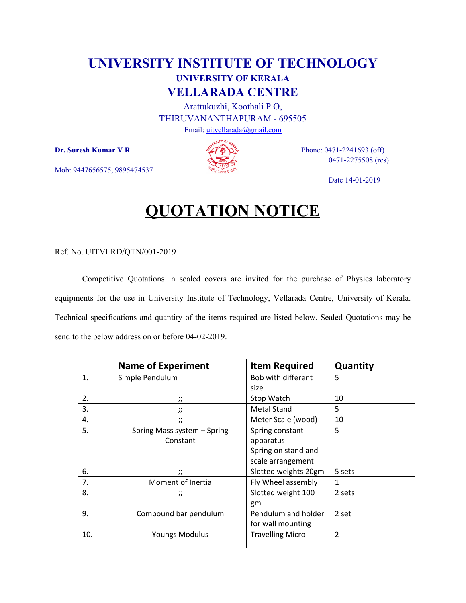## **UNIVERSITY INSTITUTE OF TECHNOLOGY UNIVERSITY OF KERALA VELLARADA CENTRE**

Arattukuzhi, Koothali P O, THIRUVANANTHAPURAM - 695505 Email: uitvellarada@gmail.com

Mob: 9447656575, 9895474537



**Dr. Suresh Kumar V R**  $\mathscr{A}(\mathbf{\hat{P}})$  Phone: 0471-2241693 (off) 0471-2275508 (res)

Date 14-01-2019

## **QUOTATION NOTICE**

Ref. No. UITVLRD/QTN/001-2019

Competitive Quotations in sealed covers are invited for the purchase of Physics laboratory equipments for the use in University Institute of Technology, Vellarada Centre, University of Kerala. Technical specifications and quantity of the items required are listed below. Sealed Quotations may be send to the below address on or before 04-02-2019.

|     | <b>Name of Experiment</b>   | <b>Item Required</b>    | Quantity       |
|-----|-----------------------------|-------------------------|----------------|
| 1.  | Simple Pendulum             | Bob with different      | 5              |
|     |                             | size                    |                |
| 2.  | $\cdot$ .<br>$^{\prime}$    | Stop Watch              | 10             |
| 3.  | $\cdot$ .<br>$^{\prime}$    | <b>Metal Stand</b>      | 5              |
| 4.  | $\cdot$ .<br>$^{\prime}$    | Meter Scale (wood)      | 10             |
| 5.  | Spring Mass system - Spring | Spring constant         | 5              |
|     | Constant                    | apparatus               |                |
|     |                             | Spring on stand and     |                |
|     |                             | scale arrangement       |                |
| 6.  | $\cdot$ .<br>$^{\prime}$    | Slotted weights 20gm    | 5 sets         |
| 7.  | Moment of Inertia           | Fly Wheel assembly      | 1              |
| 8.  | $\dddot{ }$                 | Slotted weight 100      | 2 sets         |
|     |                             | gm                      |                |
| 9.  | Compound bar pendulum       | Pendulum and holder     | 2 set          |
|     |                             | for wall mounting       |                |
| 10. | <b>Youngs Modulus</b>       | <b>Travelling Micro</b> | $\overline{2}$ |
|     |                             |                         |                |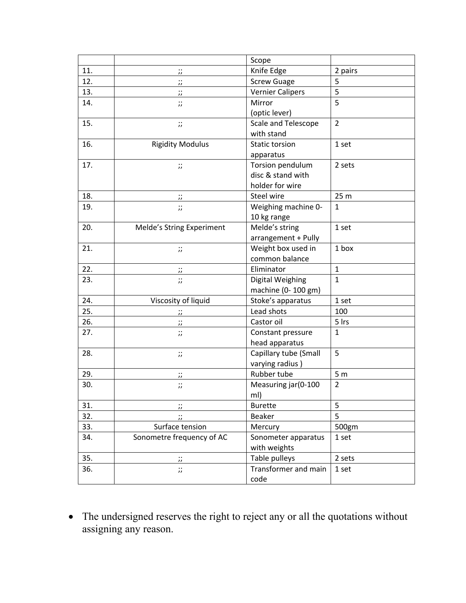|     |                                           | Scope                   |                 |
|-----|-------------------------------------------|-------------------------|-----------------|
| 11. | $\dddot{a}$                               | Knife Edge              | 2 pairs         |
| 12. | $\dddot{ }$                               | <b>Screw Guage</b>      | 5               |
| 13. | $\ddot{ }$                                | <b>Vernier Calipers</b> | 5               |
| 14. | $\dddot{ }$                               | Mirror                  | 5               |
|     |                                           | (optic lever)           |                 |
| 15. | $\dddot{a}$                               | Scale and Telescope     | $\overline{2}$  |
|     |                                           | with stand              |                 |
| 16. | <b>Rigidity Modulus</b>                   | <b>Static torsion</b>   | 1 set           |
|     |                                           | apparatus               |                 |
| 17. | $\dddot{v}$                               | Torsion pendulum        | 2 sets          |
|     |                                           | disc & stand with       |                 |
|     |                                           | holder for wire         |                 |
| 18. | $\dddot{a}$                               | Steel wire              | 25 <sub>m</sub> |
| 19. | $\dddot{v}$                               | Weighing machine 0-     | $\mathbf{1}$    |
|     |                                           | 10 kg range             |                 |
| 20. | Melde's String Experiment                 | Melde's string          | 1 set           |
|     |                                           | arrangement + Pully     |                 |
| 21. | $\dddot{ }$                               | Weight box used in      | 1 box           |
|     |                                           | common balance          |                 |
| 22. | $\ddot{ }$                                | Eliminator              | $\mathbf{1}$    |
| 23. | $\dddot{v}$                               | Digital Weighing        | $\mathbf{1}$    |
|     |                                           | machine (0-100 gm)      |                 |
| 24. | Viscosity of liquid                       | Stoke's apparatus       | 1 set           |
| 25. | $\dddot{ }$                               | Lead shots              | 100             |
| 26. | $\dddot{v}$                               | Castor oil              | 5 Irs           |
| 27. | $\dddot{ }$                               | Constant pressure       | $\mathbf 1$     |
|     |                                           | head apparatus          |                 |
| 28. | $\dddot{ }$                               | Capillary tube (Small   | 5               |
|     |                                           | varying radius)         |                 |
| 29. | $\dddot{v}$                               | Rubber tube             | 5 <sub>m</sub>  |
| 30. | $\dddot{ }$                               | Measuring jar(0-100     | $\overline{2}$  |
|     |                                           | ml)                     |                 |
| 31. | $\dddot{ }$                               | <b>Burette</b>          | 5               |
| 32. | $\ddot{\phantom{0}}$<br>$^{\prime\prime}$ | Beaker                  | 5               |
| 33. | Surface tension                           | Mercury                 | 500gm           |
| 34. | Sonometre frequency of AC                 | Sonometer apparatus     | 1 set           |
|     |                                           | with weights            |                 |
| 35. | $\dddot{ }$                               | Table pulleys           | 2 sets          |
| 36. | $\dddot{ }$                               | Transformer and main    | 1 set           |
|     |                                           | code                    |                 |

 The undersigned reserves the right to reject any or all the quotations without assigning any reason.